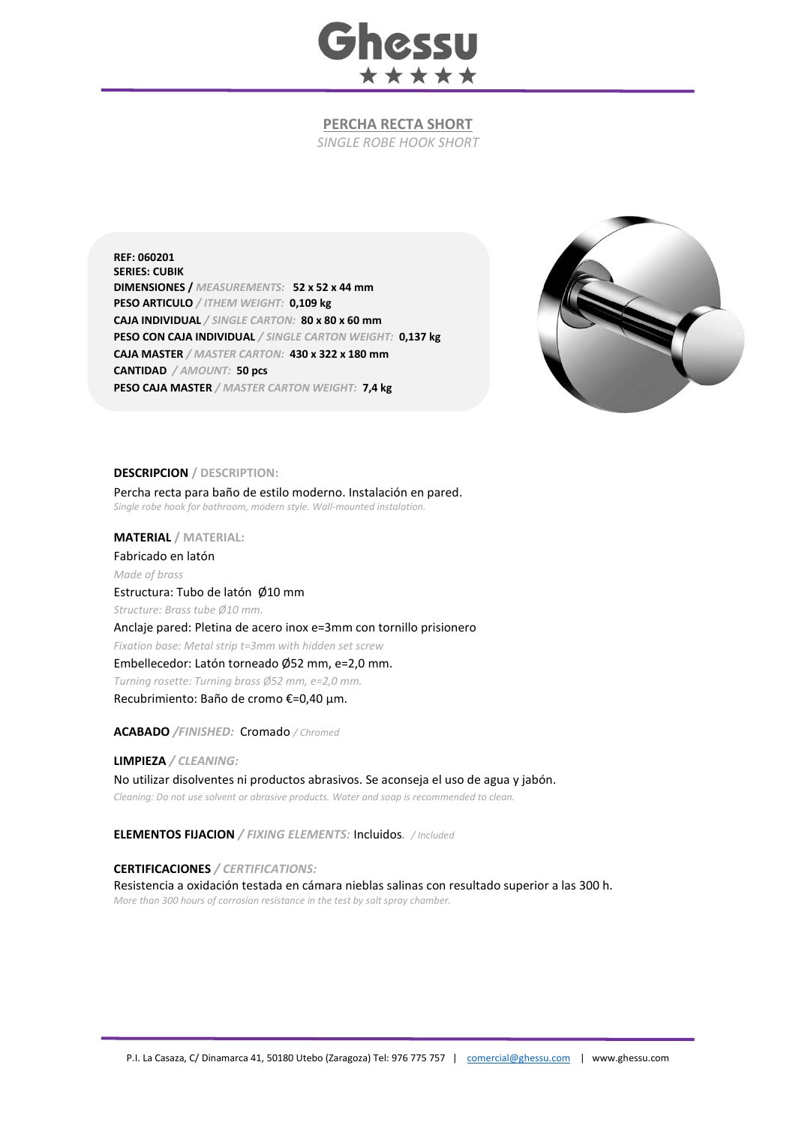

## **PERCHA RECTA SHORT**

*SINGLE ROBE HOOK SHORT*

**REF: 060201 SERIES: CUBIK DIMENSIONES /** *MEASUREMENTS:* **52 x 52 x 44 mm PESO ARTICULO** */ ITHEM WEIGHT:* **0,109 kg CAJA INDIVIDUAL** */ SINGLE CARTON:* **80 x 80 x 60 mm PESO CON CAJA INDIVIDUAL** */ SINGLE CARTON WEIGHT:* **0,137 kg CAJA MASTER** */ MASTER CARTON:* **430 x 322 x 180 mm CANTIDAD** */ AMOUNT:* **50 pcs PESO CAJA MASTER** */ MASTER CARTON WEIGHT:* **7,4 kg**



## **DESCRIPCION / DESCRIPTION:**

Percha recta para baño de estilo moderno. Instalación en pared. *Single robe hook for bathroom, modern style. Wall-mounted instalation.*

**MATERIAL / MATERIAL:** 

Fabricado en latón *Made of brass*

Estructura: Tubo de latón Ø10 mm *Structure: Brass tube Ø10 mm.* Anclaje pared: Pletina de acero inox e=3mm con tornillo prisionero *Fixation base: Metal strip t=3mm with hidden set screw* Embellecedor: Latón torneado Ø52 mm, e=2,0 mm. *Turning rosette: Turning brass Ø52 mm, e=2,0 mm.* Recubrimiento: Baño de cromo €=0,40 μm.

**ACABADO** */FINISHED:*Cromado */ Chromed*

**LIMPIEZA** */ CLEANING:*

No utilizar disolventes ni productos abrasivos. Se aconseja el uso de agua y jabón. *Cleaning: Do not use solvent or abrasive products. Water and soap is recommended to clean.*

**ELEMENTOS FIJACION** */ FIXING ELEMENTS:* Incluidos*. / Included*

## **CERTIFICACIONES** */ CERTIFICATIONS:*

Resistencia a oxidación testada en cámara nieblas salinas con resultado superior a las 300 h. *More than 300 hours of corrosion resistance in the test by salt spray chamber.*